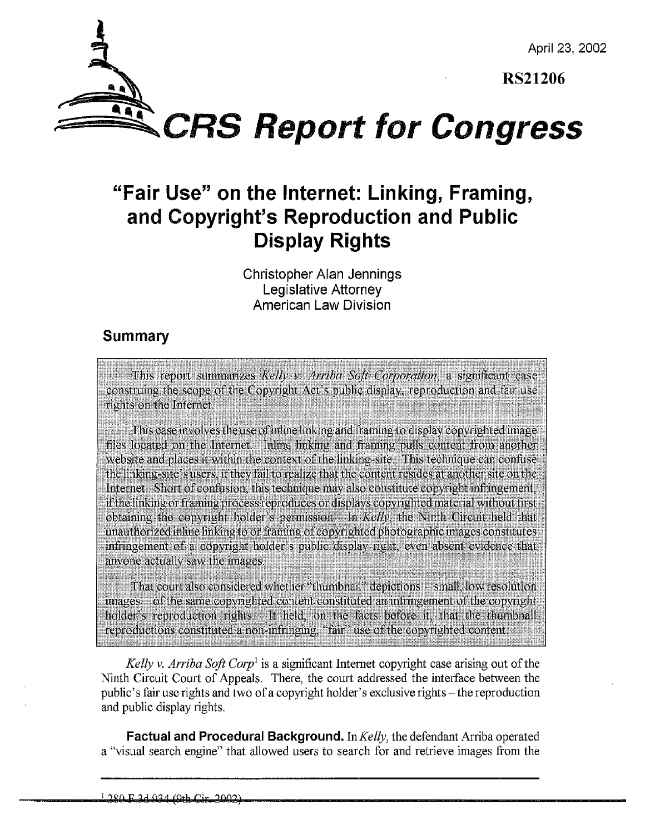April 23, 2002

RS21206



*gSzCRS* Report for Congress

## "Fair Use" on the Internet: Linking, Framing, and Copyright's Reproduction and Public Display Rights

Christopher Alan Jennings Legislative Attorney American Law Division

## Summary

This report summarizes Kelly v. Arriba Soft Corporation, a significant case construing the scope of the Copyright Act's public display, reproduction and fair use rights on the Internet

This case involves the use of inline linking and framing to display copyrighted image files located on the Internet. Inline linking and framing pulls content from another website and places it within the context of the linking-site. This technique can confuse the linking-site's users. If they fail to realize that the content resides at another site on the Internet. Short of confusion, this technique may also constitute copyright infringement, if the linking or framing process reproduces or displays copyrighted material without first obtaining the copyright holder's permission. In *Kelly*, the Ninth Circuit held that unauthorized inline linking to or framing of copyrighted photographic images constitutes infringement of a copyright holder's public display right, even absent evidence that anyone actually saw the images.

That court also considered whether "thumbnail" depictions - small, low resolution images – of the same copyrighted content constituted an infringement of the copyright holder's reproduction rights. It held, on the facts before it, that the thumbnail reproductions constituted a non-infringing, "fair" use of the copyrighted content.

*Kelly v. Arriha Soft Corp'* is a significant Internet copyright case arising out of the Ninth Circuit Court of Appeals. There, the court addressed the interface between the public's fair use rights and two of a copyright holder's exclusive rights – the reproduction and public display rights.

**Factual and Procedural Background.** In Kelly, the defendant Arriba operated a "visual search engine" that allowed users to search for and retrieve images from the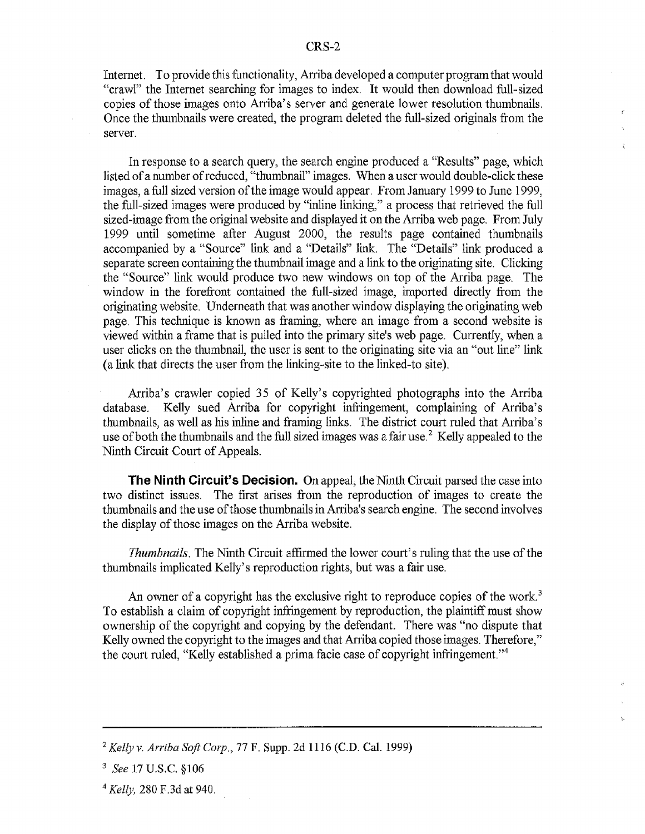Internet. To provide this functionality, Arriba developed a computer program that would "crawl" the Internet searching for images to index. It would then download full-sized copies of those images onto Arriba's server and generate lower resolution thumbnails, Once the thumbnails were created, the program deleted the full-sized originals from the server.

In response to a search query, the search engine produced a "Results" page, which listed of a number of reduced, "thumbnail" images. When a user would double-click these images, a full sized version of the image would appear. From January 1999 to June 1999, the full-sized images were produced by "inline linking," a process that retrieved the full sized-image from the original website and displayed it on the Arriba web page. From July 1999 until sometime after August 2000, the results page contained thumbnails accompanied by a "Source" link and a "Details" link. The "Details" link produced a separate screen containing the thumbnail image and a link to the originating site. Clicking the "Source" link would produce two new windows on top of the Arriba page. The window in the forefront contained the full-sized image, imported directly from the originating website. Underneath that was another window displaying the originating web page. This technique is known as framing, where an image from a second website is viewed within a frame that is pulled into the primary site's web page. Currently, when a user clicks on the thumbnail, the user is sent to the originating site via an "out line" link (a link that directs the user from the linking-site to the linked-to site).

Arriba's crawler copied 35 of Kelly's copyrighted photographs into the Arriba database. Kelly sued Arriba for copyright infringement, complaining of Arriba's thumbnails, as well as his inline and framing links. The district court ruled that Arriba's use of both the thumbnails and the full sized images was a fair use.<sup>2</sup> Kelly appealed to the Ninth Circuit Court of Appeals.

The Ninth Circuit's Decision. On appeal, the Ninth Circuit parsed the case into two distinct issues. The first arises from the reproduction of images to create the thumbnails and the use of those thumbnails in Arriba's search engine. The second involves the display of those images on the Arriba website.

*Thumbnails.* The Ninth Circuit affirmed the lower court's ruling that the use of the thumbnails implicated Kelly's reproduction rights, but was a fair use.

An owner of a copyright has the exclusive right to reproduce copies of the work.<sup>3</sup> To establish a claim of copyright infringement by reproduction, the plaintiff must show ownership of the copyright and copying by the defendant. There was "no dispute that Kelly owned the copyright to the images and that Arriba copied those images. Therefore," the court ruled, "Kelly established a prima facie case of copyright infringement."4

*<sup>&#</sup>x27;Kellyv, Arriba Soft Corp.,* **77** F. Supp. 2d 1116 (C.D. Cal. 1999)

**<sup>3</sup>** *See* 17 U.S.C. §106

<sup>4</sup> *Kelly,* 280 F.3d at 940.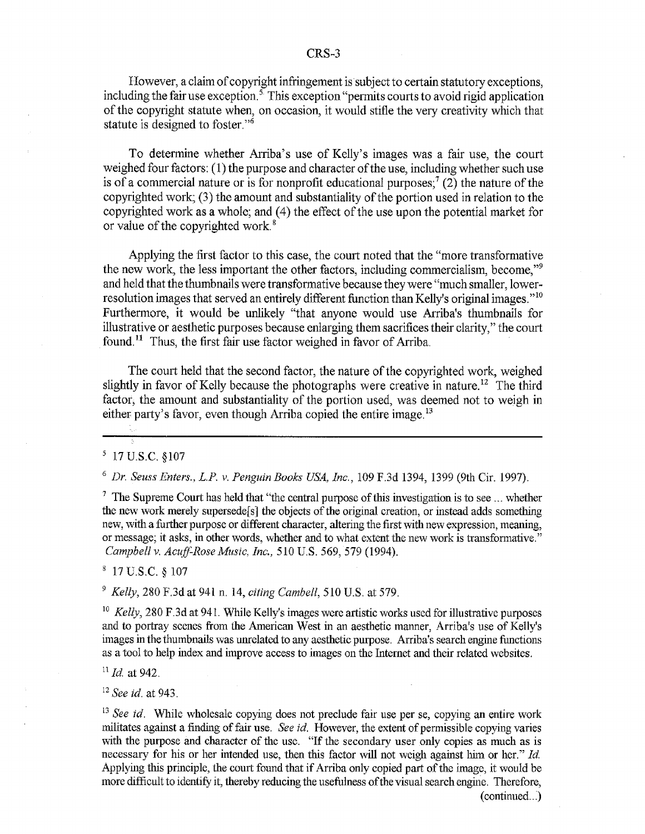However, a claim of copyright infringement is subject to certain statutory exceptions, including the fair use exception.<sup>5</sup> This exception "permits courts to avoid rigid application" of the copyright statute when, on occasion, it would stifle the very creativity which that statute is designed to foster."<sup>6</sup>

To determine whether Arriba's use of Kelly's images was a fair use, the court weighed four factors: (1) the purpose and character of the use, including whether such use is of a commercial nature or is for nonprofit educational purposes;<sup>7</sup> (2) the nature of the copyrighted work; (3) the amount and substantiality of the portion used in relation to the copyrighted work as a whole; and (4) the effect of the use upon the potential market for or value of the copyrighted work.<sup>8</sup>

Applying the first factor to this case, the court noted that the "more transformative the new work, the less important the other factors, including commercialism, become,"9 and held that the thumbnails were transformative because they were "much smaller, lowerresolution images that served an entirely different function than Kelly's original images."<sup>10</sup> Furthermore, it would be unlikely "that anyone would use Arriba's thumbnails for illustrative or aesthetic purposes because enlarging them sacrifices their clarity," the court found.<sup>11</sup> Thus, the first fair use factor weighed in favor of Arriba.

The court held that the second factor, the nature of the copyrighted work, weighed slightly in favor of Kelly because the photographs were creative in nature.<sup>12</sup> The third factor, the amount and substantiality of the portion used, was deemed not to weigh in either party's favor, even though Arriba copied the entire image.<sup>13</sup>

5 17U.S.C, §107

**6** *Dr. Seuss Enters., L.P. v. Penguin Books USA, Inc.,* 109 F.3d 1394, 1399 (9th Cir. 1997).

 $<sup>7</sup>$  The Supreme Court has held that "the central purpose of this investigation is to see ... whether</sup> the new work merely supersedes] the objects of the original creation, or instead adds something new, with a further purpose or different character, altering the first with new expression, meaning, or message; it asks, in other words, whether and to what extent the new work is transformative." *Campbell v. Acuff-Rose Music, Inc.,* 510 U.S. 569, 579 (1994).

**8** 17 U.S.C. § 107

9 *Kelly,* 280 F.3d at 941 n. 14, *citing Cambell,* 510 U.S. at 579.

<sup>10</sup> *Kelly*, 280 F.3d at 941. While Kelly's images were artistic works used for illustrative purposes and to portray scenes from the American West in an aesthetic manner, Arriba's use of Kelly's images in the thumbnails was unrelated to any aesthetic purpose. Arriba's search engine functions as a tool to help index and improve access to images on the Internet and their related websites.

*" Id.* at 942.

<sup>12</sup>*See id.* at 943.

<sup>13</sup> See id. While wholesale copying does not preclude fair use per se, copying an entire work militates against a finding of fair use. *See id.* However, the extent of permissible copying varies with the purpose and character of the use. "If the secondary user only copies as much as is necessary for his or her intended use, then this factor will not weigh against him or her." *Id.* Applying this principle, the court found that if Arriba only copied part of the image, it would be more difficult to identify it, thereby reducing the usefulness of the visual search engine. Therefore, (continued.. **)**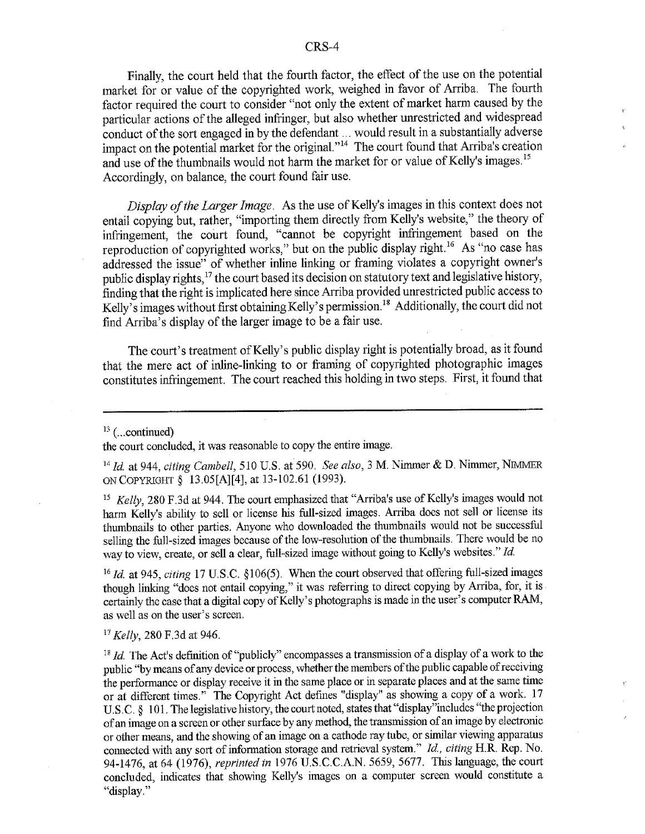Finally, the court held that the fourth factor, the effect of the use on the potential market for or value of the copyrighted work, weighed in favor of Arriba. The fourth factor required the court to consider "not only the extent of market harm caused by the particular actions of the alleged infringer, but also whether unrestricted and widespread conduct of the sort engaged in by the defendant ... would result in a substantially adverse impact on the potential market for the original."<sup>14</sup> The court found that Arriba's creation and use of the thumbnails would not harm the market for or value of Kelly's images.<sup>15</sup> Accordingly, on balance, the court found fair use.

*Display of the Larger Image.* As the use of Kelly's images in this context does not entail copying but, rather, "importing them directly from Kelly's website," the theory of infringement, the court found, "cannot be copyright infringement based on the reproduction of copyrighted works," but on the public display right.'6 As "no case has addressed the issue" of whether inline linking or framing violates a copyright owner's public display rights,<sup>17</sup> the court based its decision on statutory text and legislative history, finding that the right is implicated here since Arriba provided unrestricted public access to Kelly's images without first obtaining Kelly's permission.<sup>18</sup> Additionally, the court did not find Arriba's display of the larger image to be a fair use.

The court's treatment of Kelly's public display right is potentially broad, as it found that the mere act of inline-linking to or framing of copyrighted photographic images constitutes infringement. The court reached this holding in two steps. First, it found that

the court concluded, it was reasonable to copy the entire image.

*1Id.* at 944, *citing Cambell,* 510 U.S. at 590. *See also,* 3 M. Nimmer & D. Nimmer, NIMnER ONCOPYRIGHT § 13.05[A][4], at 13-102.61 (1993).

<sup>15</sup> Kelly, 280 F.3d at 944. The court emphasized that "Arriba's use of Kelly's images would not harm Kelly's ability to sell or license his full-sized images. Arriba does not sell or license its thumbnails to other parties. Anyone who downloaded the thumbnails would not be successful selling the full-sized images because of the low-resolution of the thumbnails. There would be no way to view, create, or sell a clear, full-sized image without going to Kelly's websites." Id.

*16 Id.* at 945, *citing* 17 U.S.C. §106(5). When the court observed that offering full-sized images though linking "does not entail copying," it was referring to direct copying by Arriba, for, it is certainly the case that a digital copy of Kelly's photographs is made in the user's computer RAM, as well as on the user's screen.

**<sup>17</sup>***Kelly,* 280 F.3d at 946.

<sup>18</sup> *Id.* The Act's definition of "publicly" encompasses a transmission of a display of a work to the public "by means of any device or process, whether the members of the public capable of receiving the performance or display receive it in the same place or in separate places and at the same time or at different times." The Copyright Act defines "display" as showing a copy of a work. 17 U.S.C. § 101, The legislative history, the court noted, states that "display"includes "the projection of an image on a screen or other surface by any method, the transmission of an image by electronic or other means, and the showing of an image on a cathode ray tube, or similar viewing apparatus connected with any sort of information storage and retrieval system." *Id., citing* H.R. Rep. No. 94-1476, at 64 (1976), *reprinted in* 1976 U.S.C.C.A.N. 5659, 5677. This language, the court concluded, indicates that showing Kelly's images on a computer screen would constitute a "display."

<sup>&</sup>lt;sup>13</sup> (... continued)